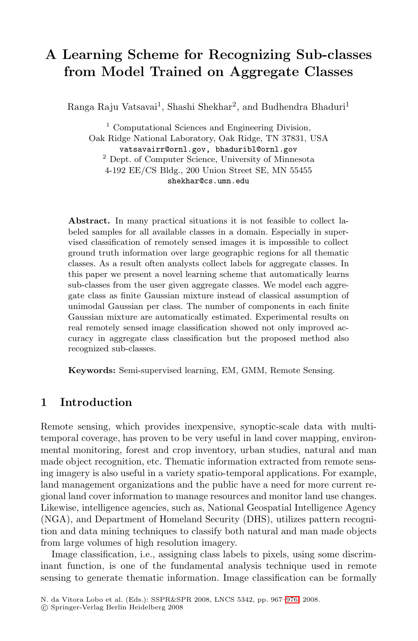# **A Learning Scheme for Recognizing Sub-classes from Model Trained on Aggregate Classes**

Ranga Raju Vatsavai<sup>1</sup>, Shashi Shekhar<sup>2</sup>, and Budhendra Bhaduri<sup>1</sup>

<sup>1</sup> Computational Sciences and Engineering Division, Oak Ridge National Laboratory, Oak Ridge, TN 37831, USA vatsavairr@ornl.gov, bhaduribl@ornl.gov <sup>2</sup> Dept. of Computer Science, University of Minnesota 4-192 EE/CS Bldg., 200 Union Street SE, MN 55455 shekhar@cs.umn.edu

**Abstract.** In many practical situations it is not feasible to collect labeled samples for all available classes in a domain. Especially in supervised classification of remotely sensed images it is impossible to collect ground truth information over large geographic regions for all thematic classes. As a result often analysts collect labels for aggregate classes. In this paper we present a novel learning scheme that automatically learns sub-classes from the user given aggregate classes. We model each aggregate class as finite Gaussian mixture instead of classical assumption of unimodal Gaussian per class. The number of components in each finite Gaussian mixture are automatically estimated. Experimental results on real remotely sensed image classification showed not only improved accuracy in aggregate class classification but the proposed method also recognized sub-classes.

**Keywords:** Semi-supervised learning, EM, GMM, Remote Sensing.

# **1 Introduction**

Remote sensing, which provides inexpensive, synoptic-scale data with multitemporal coverage, has proven to be very useful in land cover mapping, environmental monitoring, forest and crop inventory, urban studies, natural and man made object recognition, etc. Thematic information extracted from remote sensing imagery is also useful in a variety spatio-temporal applications. For example, land management organizations and the public have a need for more current regional land cover information to manage resources and monitor land use changes. Likewise, intelligence agencies, such as, [Na](#page-9-0)tional Geospatial Intelligence Agency (NGA), and Department of Homeland Security (DHS), utilizes pattern recognition and data mining techniques to classify both natural and man made objects from large volumes of high resolution imagery.

Image classification, i.e., assigning class labels to pixels, using some discriminant function, is one of the fundamental analysis technique used in remote sensing to generate thematic information. Image classification can be formally

N. da Vitora Lobo et al. (Eds.): SSPR&SPR 2008, LNCS 5342, pp. 967–976, 2008.

<sup>-</sup>c Springer-Verlag Berlin Heidelberg 2008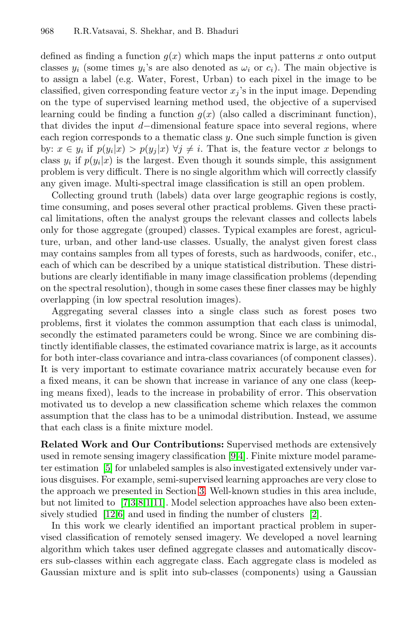#### 968 R.R.Vatsavai, S. Shekhar, and B. Bhaduri

defined as finding a function  $g(x)$  which maps the input patterns x onto output classes  $y_i$  (some times  $y_i$ 's are also denoted as  $\omega_i$  or  $c_i$ ). The main objective is to assign a label (e.g. Water, Forest, Urban) to each pixel in the image to be classified, given corresponding feature vector  $x_j$ 's in the input image. Depending on the type of supervised learning method used, the objective of a supervised learning could be finding a function  $g(x)$  (also called a discriminant function), that divides the input d−dimensional feature space into several regions, where each region corresponds to a thematic class  $y$ . One such simple function is given by:  $x \in y_i$  if  $p(y_i|x) > p(y_j|x)$   $\forall j \neq i$ . That is, the feature vector x belongs to class  $y_i$  if  $p(y_i|x)$  is the largest. Even though it sounds simple, this assignment problem is very difficult. There is no single algorithm which will correctly classify any given image. Multi-spectral image classification is still an open problem.

Collecting ground truth (labels) data over large geographic regions is costly, time consuming, and poses several other practical problems. Given these practical limitations, often the analyst groups the relevant classes and collects labels only for those aggregate (grouped) classes. Typical examples are forest, agriculture, urban, and other land-use classes. Usually, the analyst given forest class may contains samples from all types of forests, such as hardwoods, conifer, etc., each of which can be described by a unique statistical distribution. These distributions are clearly identifiable in many image classification problems (depending on the spectral resolution), though in some cases these finer classes may be highly overlapping (in low spectral resolution images).

Aggregating several classes into a single class such as forest poses two problems, first it violates the common assumption that each class is unimodal, secondly the estimated parameters could be wrong. Since we are combining distinctly identifiable classes, the estimated covariance matrix is large, as it accounts for both inter-class covariance and intra-class covariances (of component classes). It is very important to es[ti](#page-9-1)[ma](#page-9-2)te covariance matrix accurately because even for a fixed means, it can be shown that increase in variance of any one class (keeping means fixed), leads to the increase in probability of error. This observation motivated us to d[ev](#page-4-0)elop a new classification scheme which relaxes the common [as](#page-9-3)[su](#page-9-4)[m](#page-9-5)[p](#page-9-6)[tion](#page-9-7) that the class has to be a unimo[dal](#page-9-9) distribution. Instead, we assume [t](#page-9-8)hat each class is a finite mixture model.

**Related Work and Our Contributions:** Supervised methods are extensively used in remote sensing imagery classification [9,4]. Finite mixture model parameter estimation [5] for unlabeled samples is also investigated extensively under various disguises. For example, semi-supervised learning approaches are very close to the approach we presented in Section 3. Well-known studies in this area include, but not limited to [7,3,8,1,11]. Model selection approaches have also been extensively studied [12,6] and used in finding the number of clusters [2].

In this work we clearly identified an important practical problem in supervised classification of remotely sensed imagery. We developed a novel learning algorithm which takes user defined aggregate classes and automatically discovers sub-classes within each aggregate class. Each aggregate class is modeled as Gaussian mixture and is split into sub-classes (components) using a Gaussian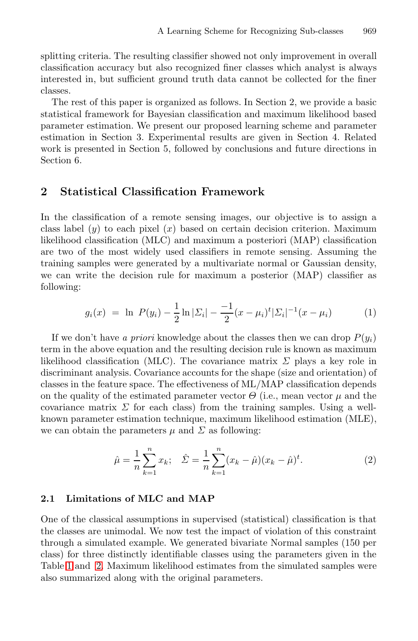splitting criteria. The resulting classifier showed not only improvement in overall classification accuracy but also recognized finer classes which analyst is always interested in, but sufficient ground truth data cannot be collected for the finer classes.

The rest of this paper is organized as follows. In Section 2, we provide a basic statistical framework for Bayesian classification and maximum likelihood based parameter estimation. We present our proposed learning scheme and parameter estimation in Section 3. Experimental results are given in Section 4. Related work is presented in Section 5, followed by conclusions and future directions in Section 6.

# **2 Statistical Classification Framework**

In the classification of a remote sensing images, our objective is to assign a class label  $(y)$  to each pixel  $(x)$  based on certain decision criterion. Maximum likelihood classification (MLC) and maximum a posteriori (MAP) classification are two of the most widely used classifiers in remote sensing. Assuming the training samples were generated by a multivariate normal or Gaussian density, we can write the decision rule for maximum a posterior (MAP) classifier as following:

$$
g_i(x) = \ln P(y_i) - \frac{1}{2} \ln |\Sigma_i| - \frac{-1}{2} (x - \mu_i)^t |\Sigma_i|^{-1} (x - \mu_i)
$$
 (1)

<span id="page-2-0"></span>If we don't have a priori knowledge about the classes then we can drop  $P(y_i)$ term in the above equation and the resulting decision rule is known as maximum likelihood classification (MLC). The covariance matrix  $\Sigma$  plays a key role in discriminant analysis. Covariance accounts for the shape (size and orientation) of classes in the feature space. The effectiveness of ML/MAP classification depends on the quality of the estimated parameter vector  $\Theta$  (i.e., mean vector  $\mu$  and the covariance matrix  $\Sigma$  for each class) from the training samples. Using a wellknown parameter estimation technique, maximum likelihood estimation (MLE), we can obtain the parameters  $\mu$  and  $\Sigma$  as following:

$$
\hat{\mu} = \frac{1}{n} \sum_{k=1}^{n} x_k; \quad \hat{\Sigma} = \frac{1}{n} \sum_{k=1}^{n} (x_k - \hat{\mu})(x_k - \hat{\mu})^t.
$$
\n(2)

#### **2.1 Limitations of MLC and MAP**

One of the classical assumptions in supervised (statistical) classification is that the classes are unimodal. We now test the impact of violation of this constraint through a simulated example. We generated bivariate Normal samples (150 per class) for three distinctly identifiable classes using the parameters given in the Table 1 and 2. Maximum likelihood estimates from the simulated samples were also summarized along with the original parameters.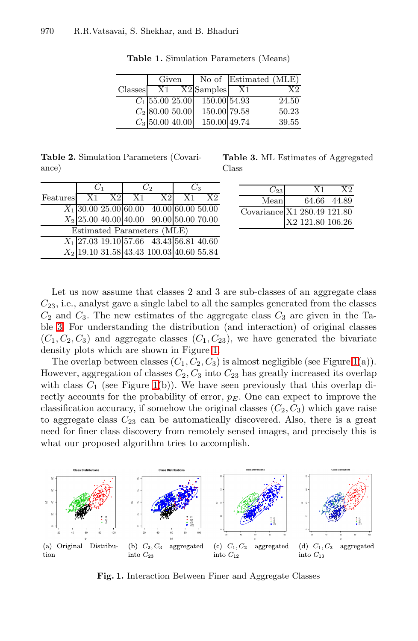| Table 1. Simulation Parameters (Means) |
|----------------------------------------|
|----------------------------------------|

|         | Given             |  |                   |  | No of Estimated (MLE) |  |  |
|---------|-------------------|--|-------------------|--|-----------------------|--|--|
| Classes | X1                |  | $X2$ Samples $X1$ |  | X <sub>2</sub>        |  |  |
|         | $C_1$ 55.00 25.00 |  | $150.00$ $54.93$  |  | 24.50                 |  |  |
|         | $C_2$ 80.00 50.00 |  | $150.00\ 79.58$   |  | 50.23                 |  |  |
|         | $C_3$ 50.00 40.00 |  | 150.00 49.74      |  | 39.55                 |  |  |

**Table 2.** Simulation Parameters (Covariance)

**Table 3.** ML Estimates of Aggregated Class

|                                        | $C_1$ |  | $C_2$                                         | $C_3$ |
|----------------------------------------|-------|--|-----------------------------------------------|-------|
| Features $X1$ $X2$ $X1$ $X2$ $X1$ $X2$ |       |  |                                               |       |
|                                        |       |  | $X_1$ 30.00 25.00 60.00 40.00 60.00 50.00     |       |
|                                        |       |  | $X_2$ 25.00 40.00 40.00 90.00 50.00 70.00     |       |
|                                        |       |  | Estimated Parameters (MLE)                    |       |
|                                        |       |  | $X_1$   27.03 19.10  57.66 43.43  56.81 40.60 |       |
|                                        |       |  | $X_2$ 19.10 31.58 43.43 100.03 40.60 55.84    |       |

| $C_{23}$                    | X 1              |             |
|-----------------------------|------------------|-------------|
| Mean                        |                  | 64.66 44.89 |
| Covariance X1 280.49 121.80 |                  |             |
|                             | X2 121.80 106.26 |             |

Let [us](#page-3-0) now assume that classes 2 and 3 are sub-classes of an aggregate class  $C_{23}$ , i.e., analyst gave a single label to all the samples generated from the classes  $C_2$  and  $C_3$ . The new estimates of the aggregate class  $C_3$  are given in the Table 3. For understanding the distribution (and interaction) of original classes  $(C_1, C_2, C_3)$  and aggregate classes  $(C_1, C_{23})$ , we have generated the bivariate density plots which are shown in Figure 1.

The overlap between classes  $(C_1, C_2, C_3)$  is almost negligible (see Figure 1(a)). However, aggregation of classes  $C_2, C_3$  into  $C_{23}$  has greatly increased its overlap with class  $C_1$  (see Figure 1(b)). We have seen previously that this overlap directly accounts for the probability of error,  $p_E$ . One can expect to improve the classification accuracy, if somehow the original classes  $(C_2, C_3)$  which gave raise to aggregate class  $C_{23}$  can be automatically discovered. Also, there is a great need for finer class discovery from remotely sensed images, and precisely this is what our proposed algorithm tries to accomplish.

<span id="page-3-0"></span>

**Fig. 1.** Interaction Between Finer and Aggregate Classes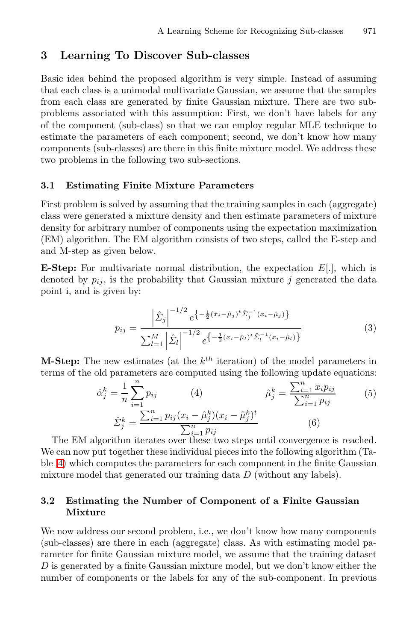# <span id="page-4-0"></span>**3 Learning To Discover Sub-classes**

Basic idea behind the proposed algorithm is very simple. Instead of assuming that each class is a unimodal multivariate Gaussian, we assume that the samples from each class are generated by finite Gaussian mixture. There are two subproblems associated with this assumption: First, we don't have labels for any of the component (sub-class) so that we can employ regular MLE technique to estimate the parameters of each component; second, we don't know how many components (sub-classes) are there in this finite mixture model. We address these two problems in the following two sub-sections.

#### **3.1 Estimating Finite Mixture Parameters**

First problem is solved by assuming that the training samples in each (aggregate) class were generated a mixture density and then estimate parameters of mixture density for arbitrary number of components using the expectation maximization (EM) algorithm. The EM algorithm consists of two steps, called the E-step and and M-step as given below.

**E-Step:** For multivariate normal distribution, the expectation  $E[.]$ , which is denoted by  $p_{ij}$ , is the probability that Gaussian mixture j generated the data point i, and is given by:

$$
p_{ij} = \frac{\left|\hat{\Sigma}_j\right|^{-1/2} e^{\left\{-\frac{1}{2}(x_i - \hat{\mu}_j)^t \hat{\Sigma}_j^{-1}(x_i - \hat{\mu}_j)\right\}}}{\sum_{l=1}^M \left|\hat{\Sigma}_l\right|^{-1/2} e^{\left\{-\frac{1}{2}(x_i - \hat{\mu}_l)^t \hat{\Sigma}_l^{-1}(x_i - \hat{\mu}_l)\right\}}}
$$
(3)

**M-Step:** The new estimates (at the  $k^{th}$  iteration) of the model parameters in terms of the old parameters are computed using the following update equations:

$$
\hat{\alpha}_{j}^{k} = \frac{1}{n} \sum_{i=1}^{n} p_{ij} \qquad (4) \qquad \hat{\mu}_{j}^{k} = \frac{\sum_{i=1}^{n} x_{i} p_{ij}}{\sum_{i=1}^{n} p_{ij}} \qquad (5)
$$

$$
\hat{\Sigma}_{j}^{k} = \frac{\sum_{i=1}^{n} p_{ij} (x_{i} - \hat{\mu}_{j}^{k})(x_{i} - \hat{\mu}_{j}^{k})^{t}}{\sum_{i=1}^{n} p_{ij}} \qquad (6)
$$

The EM algorithm iterates over these two steps until convergence is reached. We can now put together these individual pieces into the following algorithm (Table 4) which computes the parameters for each component in the finite Gaussian mixture model that generated our training data D (without any labels).

## **3.2 Estimating the Number of Component of a Finite Gaussian Mixture**

We now address our second problem, i.e., we don't know how many components (sub-classes) are there in each (aggregate) class. As with estimating model parameter for finite Gaussian mixture model, we assume that the training dataset D is generated by a finite Gaussian mixture model, but we don't know either the number of components or the labels for any of the sub-component. In previous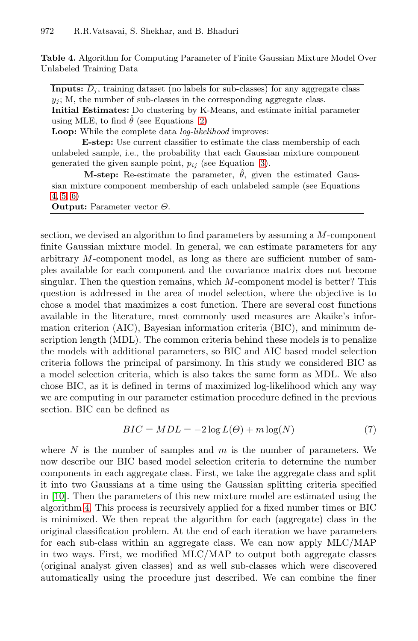**Table 4.** Algorithm for Computing Parameter of Finite Gaussian Mixture Model Over Unlabeled Training Data

**Inputs:**  $D_i$ , training dataset (no labels for sub-classes) for any aggregate class  $y_i$ ; M, the number of sub-classes in the corresponding aggregate class. **Initial Estimates:** Do clustering by K-Means, and estimate initial parameter using MLE, to find  $\hat{\theta}$  (see Equations 2) Loop: While the complete data *log-likelihood* improves:

**E-step:** Use current classifier to estimate the class membership of each unlabeled sample, i.e., the probability that each Gaussian mixture component generated the given sample point,  $p_{ij}$  (see Equation 3).

**M-step:** Re-estimate the parameter,  $\hat{\theta}$ , given the estimated Gaussian mixture component membership of each unlabeled sample (see Equations 4, 5, 6)

**Output:** Parameter vector Θ.

section, we devised an algorithm to find parameters by assuming a M-component finite Gaussian mixture model. In general, we can estimate parameters for any arbitrary M-component model, as long as there are sufficient number of samples available for each component and the covariance matrix does not become singular. Then the question remains, which  $M$ -component model is better? This question is addressed in the area of model selection, where the objective is to chose a model that maximizes a cost function. There are several cost functions available in the literature, most commonly used measures are Akaike's information criterion (AIC), Bayesian information criteria (BIC), and minimum description length (MDL). The common criteria behind these models is to penalize the models with additional parameters, so BIC and AIC based model selection criteria follows the principal of parsimony. In this study we considered BIC as a model selection criteria, which is also takes the same form as MDL. We also chose BIC, as it is defined in terms of maximized log-likelihood which any way we are computing in our parameter estimation procedure defined in the previous section. BIC can be defined as

$$
BIC = MDL = -2\log L(\Theta) + m\log(N)
$$
\n(7)

where  $N$  is the number of samples and  $m$  is the number of parameters. We now describe our BIC based model selection criteria to determine the number components in each aggregate class. First, we take the aggregate class and split it into two Gaussians at a time using the Gaussian splitting criteria specified in [10]. Then the parameters of this new mixture model are estimated using the algorithm 4. This process is recursively applied for a fixed number times or BIC is minimized. We then repeat the algorithm for each (aggregate) class in the original classification problem. At the end of each iteration we have parameters for each sub-class within an aggregate class. We can now apply MLC/MAP in two ways. First, we modified MLC/MAP to output both aggregate classes (original analyst given classes) and as well sub-classes which were discovered automatically using the procedure just described. We can combine the finer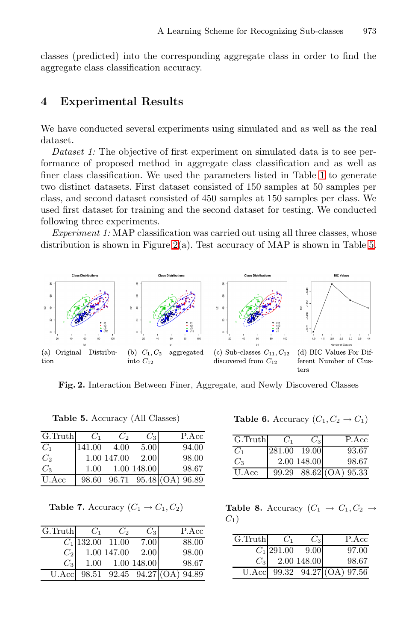classes (predicted) into the corresponding aggregate class in order to find the aggregate class classification accuracy.

## **4 Experimental Results**

We have conducted several experiments using simulated and as well as the real dataset.

Dataset [1:](#page-6-0) The objective of first experiment on simulat[ed](#page-6-1) data is to see performance of proposed method in aggregate class classification and as well as finer class classification. We used the parameters listed in Table 1 to generate two distinct datasets. First dataset consisted of 150 samples at 50 samples per class, and second dataset consisted of 450 samples at 150 samples per class. We used first dataset for training and the second dataset for testing. We conducted following three experiments.

Experiment 1: MAP classification was carried out using all three classes, whose distribution is shown in Figure 2(a). Test accuracy of MAP is shown in Table 5.

<span id="page-6-1"></span><span id="page-6-0"></span>

<span id="page-6-2"></span>**Fig. 2.** Interaction Between Finer, Aggregate, and Newly Discovered Classes

<span id="page-6-3"></span>

| Table 5. Accuracy (All Classes) |
|---------------------------------|
|                                 |

**Table 6.** Accuracy  $(C_1, C_2 \rightarrow C_1)$ 

G.Truth  $C_1$   $C_3$  P.Acc  $C_1$  | 281.00 19.00 | 93.67  $C_3$  2.00 148.00 98.67 U.Acc 99.29 88.62 (OA) 95.33

<span id="page-6-4"></span>

| G.Truth         | $C_1$  | $C_2$       | $C_{3}$     | P.Acc                        |
|-----------------|--------|-------------|-------------|------------------------------|
| $C_1$           | 141.00 | 4.00        | 5.00        | 94.00                        |
| $C_2$           |        | 1.00 147.00 | 2.00        | 98.00                        |
| $C_3$           | 1.00   |             | 1.00 148.00 | 98.67                        |
| $_{\rm U. Acc}$ |        |             |             | 98.60 96.71 95.48 (OA) 96.89 |

**Table 7.** Accuracy  $(C_1 \rightarrow C_1, C_2)$ 

| G.Truth | $C_1$              | $C_2$          | $C_3$                   | P.Acc |
|---------|--------------------|----------------|-------------------------|-------|
|         | $C_1$ 132.00 11.00 |                | 7.00                    | 88.00 |
| $C_2$   |                    | $1.00\ 147.00$ | 2.00                    | 98.00 |
| $C_3$   | 1.00               |                | 1.00 148.00             | 98.67 |
| U.Acc   |                    |                | 98.51 92.45 $94.27(OA)$ | 94.89 |

**Table 8.** Accuracy  $(C_1 \rightarrow C_1, C_2 \rightarrow C_1)$  $C_1$ 

| G.Truth | $C_{1}$      | $C_{31}$    | P.Acc                                    |
|---------|--------------|-------------|------------------------------------------|
|         | $C_1$ 291.00 | 9.00        | 97.00                                    |
|         |              | 2.00 148.00 | 98.67                                    |
|         |              |             | U.Acc 99.32 $9\overline{4.27(OA)}$ 97.56 |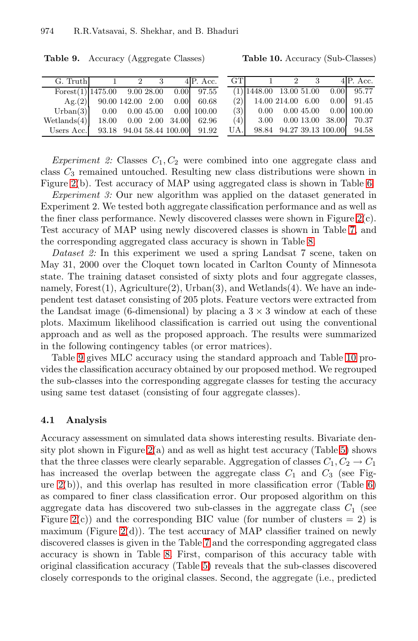<span id="page-7-1"></span><span id="page-7-0"></span>

| Accuracy (Aggregate Classes) | Table 9. |  |  |  |
|------------------------------|----------|--|--|--|
|------------------------------|----------|--|--|--|

**Table 10.** Accuracy (Sub-Classes)

| G. Truth                                             |                   | 2 |  | 4P. Acc.                        | GT.  |                           | $\mathcal{D}$ | 3 |                          | 4P. Acc.                  |
|------------------------------------------------------|-------------------|---|--|---------------------------------|------|---------------------------|---------------|---|--------------------------|---------------------------|
| Forest(1) $1475.00$ 9.00 28.00 0.00 97.55            |                   |   |  |                                 |      | $(1)$ 1448.00 13.00 51.00 |               |   |                          | 0.00 95.77                |
| Ag.(2)                                               | 90.00 142.00 2.00 |   |  | $0.00\ 60.68$                   | (2)  | 14.00 214.00 6.00         |               |   |                          | 0.00 91.45                |
| Urban(3) $[0.00 \t 0.00 \t 45.00 \t 0.00 \t 100.00]$ |                   |   |  |                                 | (3)  | 0.00                      |               |   |                          | $0.0045.00$ $0.001100.00$ |
| Wetlands(4)                                          |                   |   |  | 18.00  0.00  2.00  34.00  62.96 | (4)  | - 3.00                    |               |   | 0.00 13.00 38.00         | 70.37                     |
| Users Acc.                                           |                   |   |  | 93.18 94.04 58.44 100.00 91.92  | UA.I |                           |               |   | 98.84 94.27 39.13 100.00 | 94.58                     |

Experiment 2: Classes  $C_1, C_2$  were com[bin](#page-6-3)ed into one aggregate class and class  $C_3$  remained untouched. Resulting new class distributions were shown in Figure 2(b). Test accuracy of MAP using aggregated class is shown in Table 6.

Experiment 3: Our new algorithm was applied on the dataset generated in Experiment 2. We tested both aggregate classification performance and as well as the finer class performance. Newly discovered classes were shown in Figure  $2(c)$ . Test accuracy of MAP using newly discovered classes is shown in Table 7, and the corresponding aggregated class accuracy is shown in Table 8.

Dataset 2: In this experiment we used a spring Landsat 7 scene, taken on May 31, 2000 over the Cloquet town located in Ca[rlto](#page-7-0)n County of Minnesota state. The training dataset consisted of sixty plots and four aggregate classes, namely,  $F$ orest $(1)$ , Agriculture $(2)$ , Urban $(3)$ , and Wetlands $(4)$ . We have an independent test dataset consisting of 205 plots. Feature vectors were extracted from the Landsat image (6-dimensional) by placing a  $3 \times 3$  window at each of these plots. Maximum likelihood classification is carried out using the conventional approach and as well as the proposed approach. The results were summarized in the following contingency tables (or error matrices).

Ta[ble](#page-6-0) 9 gives MLC accuracy using the standard [ap](#page-6-1)proach and Table 10 provides the classification accuracy obtained by our proposed method. We regrouped the sub-classes into the corresponding aggregate classes for testing the accuracy using same test dataset (consisting of four aggregate class[es](#page-6-2)).

#### **4.1 Analysis**

[A](#page-6-0)ccuracy assessment on simulated data shows interesting results. Bivariate den-sity plot shown in [Fig](#page-6-4)ure  $2(a)$  and as well as hight test accuracy (Table 5) shows that the t[hre](#page-6-3)e classes were clearly separable. Aggregation of classes  $C_1, C_2 \rightarrow C_1$ has increased the [ov](#page-6-1)erlap between the aggregate class  $C_1$  and  $C_3$  (see Figure 2(b)), and this overlap has resulted in more classification error (Table 6) as compared to finer class classification error. Our proposed algorithm on this aggregate data has discovered two sub-classes in the aggregate class  $C_1$  (see Figure  $2(c)$  and the corresponding BIC value (for number of clusters = 2) is maximum (Figure  $2(d)$ ). The test accuracy of MAP classifier trained on newly discovered classes is given in the Table 7 and the corresponding aggregated class accuracy is shown in Table 8. First, comparison of this accuracy table with original classification accuracy (Table 5) reveals that the sub-classes discovered closely corresponds to the original classes. Second, the aggregate (i.e., predicted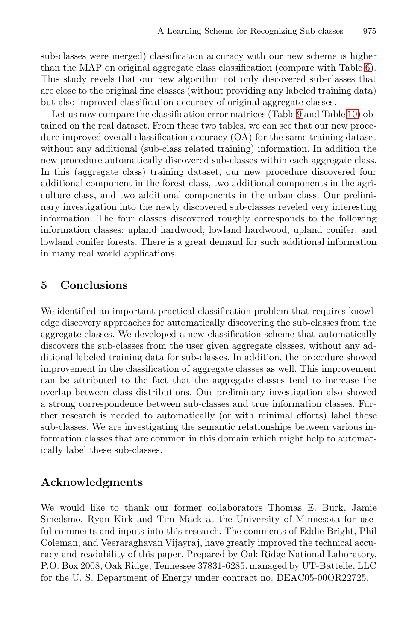sub-classes were merged) classification accuracy with our new scheme is higher than the MAP on original aggregate class classification (compare with Table 6). This study revels that our new algorithm not only discovered sub-classes that are close to the original fine classes (without providing any labeled training data) but also improved classification accuracy of original aggregate classes.

Let us now compare the classification error matrices (Table 9 and Table 10) obtained on the real dataset. From these two tables, we can see that our new procedure improved overall classification accuracy (OA) for the same training dataset without any additional (sub-class related training) information. In addition the new procedure automatically discovered sub-classes within each aggregate class. In this (aggregate class) training dataset, our new procedure discovered four additional component in the forest class, two additional components in the agriculture class, and two additional components in the urban class. Our preliminary investigation into the newly discovered sub-classes reveled very interesting information. The four classes discovered roughly corresponds to the following information classes: upland hardwood, lowland hardwood, upland conifer, and lowland conifer forests. There is a great demand for such additional information in many real world applications.

## **5 Conclusions**

We identified an important practical classification problem that requires knowledge discovery approaches for automatically discovering the sub-classes from the aggregate classes. We developed a new classification scheme that automatically discovers the sub-classes from the user given aggregate classes, without any additional labeled training data for sub-classes. In addition, the procedure showed improvement in the classification of aggregate classes as well. This improvement can be attributed to the fact that the aggregate classes tend to increase the overlap between class distributions. Our preliminary investigation also showed a strong correspondence between sub-classes and true information classes. Further research is needed to automatically (or with minimal efforts) label these sub-classes. We are investigating the semantic relationships between various information classes that are common in this domain which might help to automatically label these sub-classes.

### **Acknowledgments**

We would like to thank our former collaborators Thomas E. Burk, Jamie Smedsmo, Ryan Kirk and Tim Mack at the University of Minnesota for useful comments and inputs into this research. The comments of Eddie Bright, Phil Coleman, and Veeraraghavan Vijayraj, have greatly improved the technical accuracy and readability of this paper. Prepared by Oak Ridge National Laboratory, P.O. Box 2008, Oak Ridge, Tennessee 37831-6285, managed by UT-Battelle, LLC for the U. S. Department of Energy under contract no. DEAC05-00OR22725.